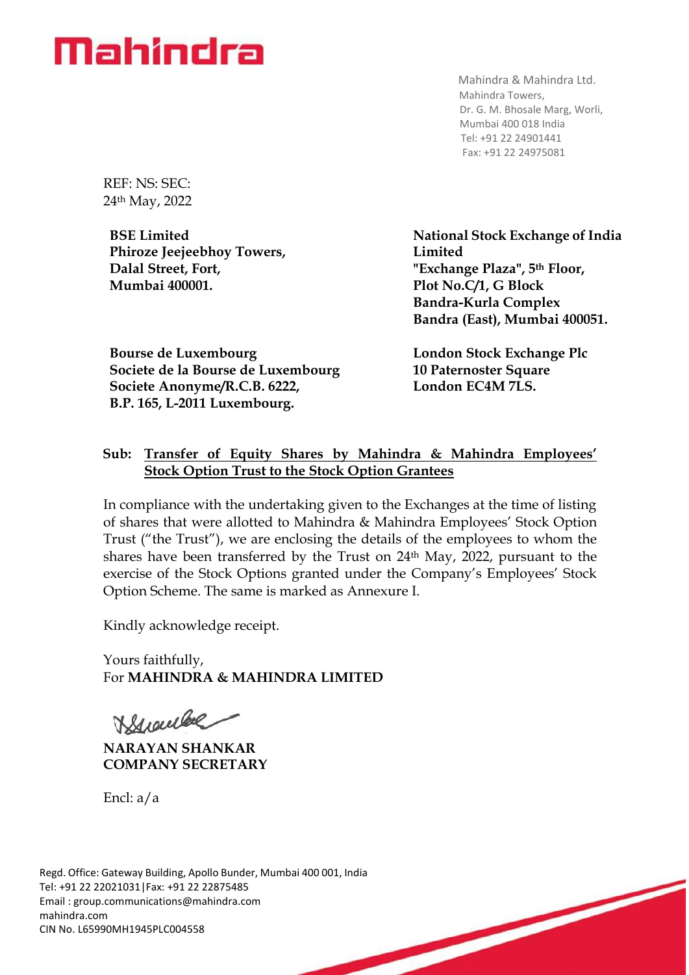

Mahindra & Mahindra Ltd. Mahindra Towers, Dr. G. M. Bhosale Marg, Worli, Mumbai 400 018 India Tel: +91 22 24901441 Fax: +91 22 24975081

REF: NS: SEC: 24th May, 2022

**BSE Limited Phiroze Jeejeebhoy Towers, Dalal Street, Fort, Mumbai 400001.**

**Bourse de Luxembourg Societe de la Bourse de Luxembourg Societe Anonyme/R.C.B. 6222, B.P. 165, L-2011 Luxembourg.**

**National Stock Exchange of India Limited "Exchange Plaza", 5th Floor, Plot No.C/1, G Block Bandra-Kurla Complex Bandra (East), Mumbai 400051.**

**London Stock Exchange Plc 10 Paternoster Square London EC4M 7LS.**

## **Sub: Transfer of Equity Shares by Mahindra & Mahindra Employees' Stock Option Trust to the Stock Option Grantees**

In compliance with the undertaking given to the Exchanges at the time of listing of shares that were allotted to Mahindra & Mahindra Employees' Stock Option Trust ("the Trust"), we are enclosing the details of the employees to whom the shares have been transferred by the Trust on 24th May, 2022, pursuant to the exercise of the Stock Options granted under the Company's Employees' Stock Option Scheme. The same is marked as Annexure I.

Kindly acknowledge receipt.

Yours faithfully, For **MAHINDRA & MAHINDRA LIMITED**

Branche

**NARAYAN SHANKAR COMPANY SECRETARY**

Encl: a/a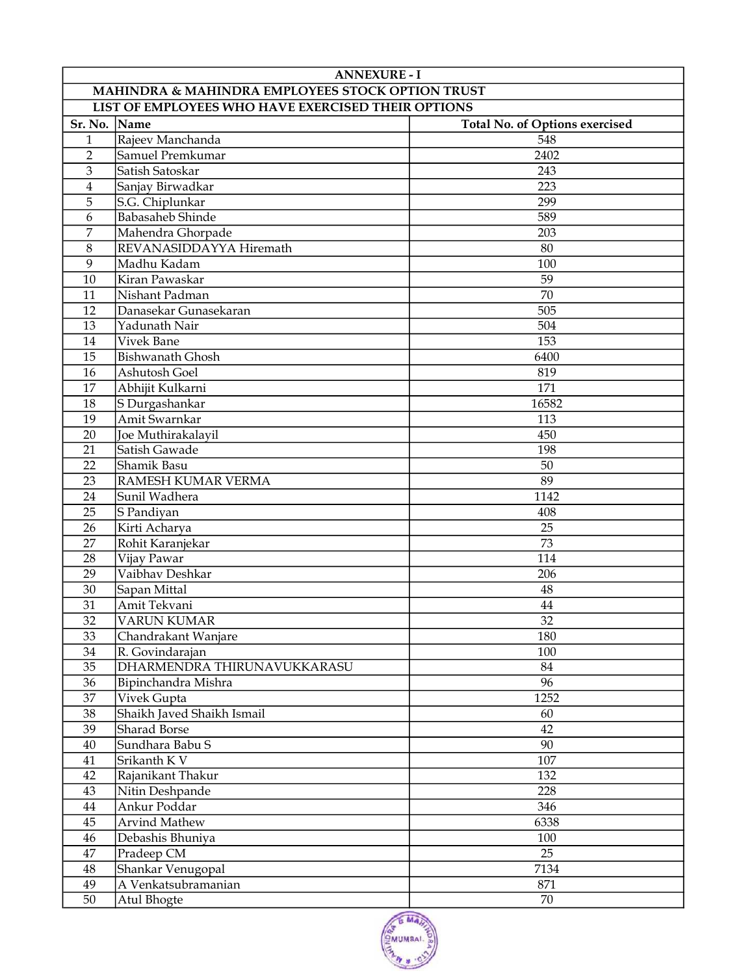| <b>ANNEXURE - I</b>                              |                                                    |                                |  |
|--------------------------------------------------|----------------------------------------------------|--------------------------------|--|
| MAHINDRA & MAHINDRA EMPLOYEES STOCK OPTION TRUST |                                                    |                                |  |
|                                                  | LIST OF EMPLOYEES WHO HAVE EXERCISED THEIR OPTIONS |                                |  |
| Sr. No. Name                                     |                                                    | Total No. of Options exercised |  |
| $\mathbf{1}$                                     | Rajeev Manchanda                                   | 548                            |  |
| $\overline{2}$                                   | Samuel Premkumar                                   | 2402                           |  |
| $\overline{3}$                                   | Satish Satoskar                                    | 243                            |  |
| $\overline{4}$                                   | Sanjay Birwadkar                                   | 223                            |  |
| 5                                                | S.G. Chiplunkar                                    | 299                            |  |
| 6                                                | <b>Babasaheb Shinde</b>                            | 589                            |  |
| 7                                                | Mahendra Ghorpade                                  | 203                            |  |
| 8                                                | REVANASIDDAYYA Hiremath                            | 80                             |  |
| 9                                                | Madhu Kadam                                        | 100                            |  |
| 10                                               | Kiran Pawaskar                                     | 59                             |  |
| 11                                               | Nishant Padman                                     | $\overline{70}$                |  |
| 12                                               | Danasekar Gunasekaran                              | 505                            |  |
| 13                                               | Yadunath Nair                                      | 504                            |  |
| 14                                               | Vivek Bane                                         | 153                            |  |
| 15                                               | <b>Bishwanath Ghosh</b>                            | 6400                           |  |
| 16                                               | Ashutosh Goel                                      | 819                            |  |
| 17                                               | Abhijit Kulkarni                                   | 171                            |  |
| 18                                               | S Durgashankar                                     | 16582                          |  |
| 19                                               | Amit Swarnkar                                      | 113                            |  |
| 20                                               | Joe Muthirakalayil                                 | 450                            |  |
| 21                                               | Satish Gawade                                      | 198                            |  |
| 22                                               | Shamik Basu                                        | 50                             |  |
| 23                                               | RAMESH KUMAR VERMA                                 | 89                             |  |
| 24                                               | Sunil Wadhera                                      | 1142                           |  |
| 25                                               | S Pandiyan                                         | 408                            |  |
| 26                                               | Kirti Acharya                                      | 25                             |  |
| 27                                               | Rohit Karanjekar                                   | 73                             |  |
| 28                                               | Vijay Pawar                                        | 114                            |  |
| 29                                               | Vaibhav Deshkar                                    | 206                            |  |
| 30                                               | Sapan Mittal                                       | 48                             |  |
| 31                                               | Amit Tekvani                                       | 44                             |  |
| $\overline{32}$                                  | <b>VARUN KUMAR</b>                                 | $\overline{32}$                |  |
| 33                                               | Chandrakant Wanjare                                | 180                            |  |
| 34                                               | R. Govindarajan                                    | 100                            |  |
| 35                                               | DHARMENDRA THIRUNAVUKKARASU                        | 84                             |  |
| 36                                               | Bipinchandra Mishra                                | 96                             |  |
| 37                                               | Vivek Gupta                                        | 1252                           |  |
| 38                                               | Shaikh Javed Shaikh Ismail                         | 60                             |  |
| 39                                               | Sharad Borse                                       | 42                             |  |
| 40                                               | Sundhara Babu S                                    | 90                             |  |
| 41                                               | Srikanth K V                                       | 107                            |  |
| 42                                               | Rajanikant Thakur                                  | 132                            |  |
| 43                                               | Nitin Deshpande                                    | 228                            |  |
| 44                                               | Ankur Poddar                                       | 346                            |  |
| 45                                               | <b>Arvind Mathew</b>                               | 6338                           |  |
| 46                                               | Debashis Bhuniya                                   | 100                            |  |
| 47                                               | Pradeep CM                                         | 25                             |  |
| 48                                               | Shankar Venugopal                                  | 7134                           |  |
| 49                                               | A Venkatsubramanian                                | 871                            |  |
| 50                                               | Atul Bhogte                                        | 70                             |  |